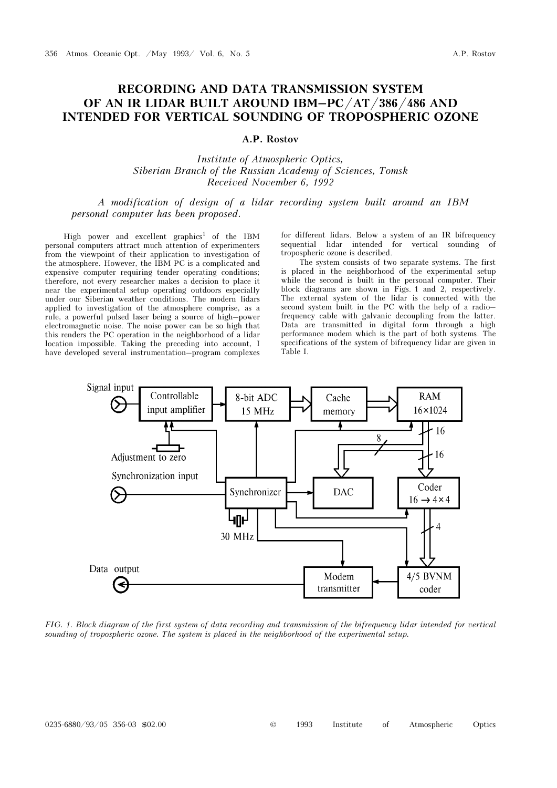## RECORDING AND DATA TRANSMISSION SYSTEM OF AN IR LIDAR BUILT AROUND IBM–PC/AT/386/486 AND INTENDED FOR VERTICAL SOUNDING OF TROPOSPHERIC OZONE

## A.P. Rostov

Institute of Atmospheric Optics, Siberian Branch of the Russian Academy of Sciences, Tomsk Received November 6, 1992

A modification of design of a lidar recording system built around an IBM personal computer has been proposed.

High power and excellent graphics<sup>1</sup> of the IBM personal computers attract much attention of experimenters from the viewpoint of their application to investigation of the atmosphere. However, the IBM PC is a complicated and expensive computer requiring tender operating conditions; therefore, not every researcher makes a decision to place it near the experimental setup operating outdoors especially under our Siberian weather conditions. The modern lidars applied to investigation of the atmosphere comprise, as a rule, a powerful pulsed laser being a source of high–power electromagnetic noise. The noise power can be so high that this renders the PC operation in the neighborhood of a lidar location impossible. Taking the preceding into account, I have developed several instrumentation–program complexes

for different lidars. Below a system of an IR bifrequency sequential lidar intended for vertical sounding of tropospheric ozone is described.

The system consists of two separate systems. The first is placed in the neighborhood of the experimental setup while the second is built in the personal computer. Their block diagrams are shown in Figs. 1 and 2, respectively. The external system of the lidar is connected with the second system built in the PC with the help of a radio– frequency cable with galvanic decoupling from the latter. Data are transmitted in digital form through a high performance modem which is the part of both systems. The specifications of the system of bifrequency lidar are given in Table I.



FIG. 1. Block diagram of the first system of data recording and transmission of the bifrequency lidar intended for vertical sounding of tropospheric ozone. The system is placed in the neighborhood of the experimental setup.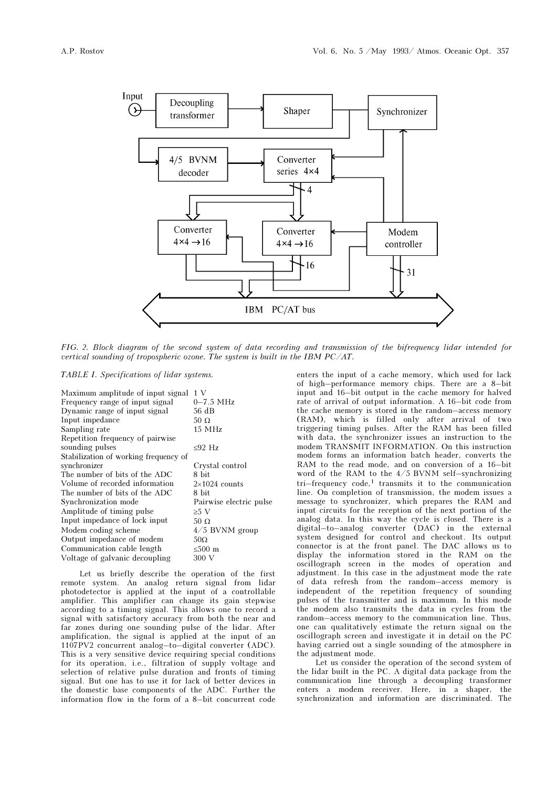

FIG. 2. Block diagram of the second system of data recording and transmission of the bifrequency lidar intended for vertical sounding of tropospheric ozone. The system is built in the IBM PC/AT.

TABLE I. Specifications of lidar systems.

| Maximum amplitude of input signal     | 1 V                     |
|---------------------------------------|-------------------------|
| Frequency range of input signal       | $0 - 7.5$ MHz           |
| Dynamic range of input signal         | 56 dB                   |
| Input impedance                       | 50 $\Omega$             |
| Sampling rate                         | $15$ MHz                |
| Repetition frequency of pairwise      |                         |
| sounding pulses                       | $< 92$ Hz               |
| Stabilization of working frequency of |                         |
| synchronizer                          | Crystal control         |
| The number of bits of the ADC         | 8 bit                   |
| Volume of recorded information        | $2\times1024$ counts    |
| The number of bits of the ADC         | 8 bit                   |
| Synchronization mode                  | Pairwise electric pulse |
| Amplitude of timing pulse             | $\geq 5$ V              |
| Input impedance of lock input         | 50 $\Omega$             |
| Modem coding scheme                   | $4/5$ BVNM group        |
| Output impedance of modem             | $50\Omega$              |
| Communication cable length            | ≤500 $m$                |
| Voltage of galvanic decoupling        | 300 V                   |
|                                       |                         |

Let us briefly describe the operation of the first remote system. An analog return signal from lidar photodetector is applied at the input of a controllable amplifier. This amplifier can change its gain stepwise according to a timing signal. This allows one to record a signal with satisfactory accuracy from both the near and far zones during one sounding pulse of the lidar. After amplification, the signal is applied at the input of an 1107PV2 concurrent analog–to–digital converter (ADC). This is a very sensitive device requiring special conditions for its operation, i.e., filtration of supply voltage and selection of relative pulse duration and fronts of timing signal. But one has to use it for lack of better devices in the domestic base components of the ADC. Further the information flow in the form of a 8–bit concurrent code enters the input of a cache memory, which used for lack of high–performance memory chips. There are a 8–bit input and 16–bit output in the cache memory for halved rate of arrival of output information. A 16–bit code from the cache memory is stored in the random–access memory (RAM), which is filled only after arrival of two triggering timing pulses. After the RAM has been filled with data, the synchronizer issues an instruction to the modem TRANSMIT INFORMATION. On this instruction modem forms an information batch header, converts the RAM to the read mode, and on conversion of a 16–bit word of the RAM to the 4/5 BVNM self–synchronizing tri–frequency code,<sup>1</sup> transmits it to the communication line. On completion of transmission, the modem issues a message to synchronizer, which prepares the RAM and input circuits for the reception of the next portion of the analog data. In this way the cycle is closed. There is a digital–to–analog converter (DAC) in the external system designed for control and checkout. Its output connector is at the front panel. The DAC allows us to display the information stored in the RAM on the oscillograph screen in the modes of operation and adjustment. In this case in the adjustment mode the rate of data refresh from the random–access memory is independent of the repetition frequency of sounding pulses of the transmitter and is maximum. In this mode the modem also transmits the data in cycles from the random–access memory to the communication line. Thus, one can qualitatively estimate the return signal on the oscillograph screen and investigate it in detail on the PC having carried out a single sounding of the atmosphere in the adjustment mode.

Let us consider the operation of the second system of the lidar built in the PC. A digital data package from the communication line through a decoupling transformer enters a modem receiver. Here, in a shaper, the synchronization and information are discriminated. The